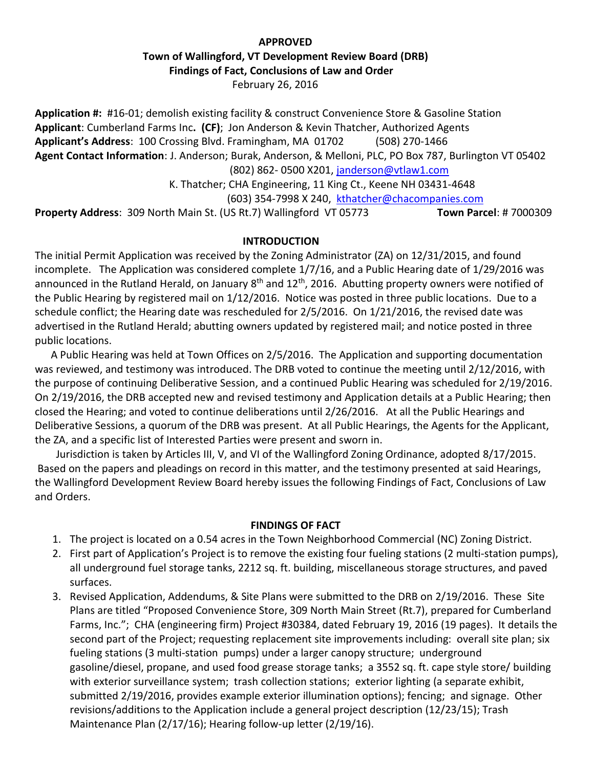# **APPROVED**  **Town of Wallingford, VT Development Review Board (DRB) Findings of Fact, Conclusions of Law and Order** February 26, 2016

**Application #:** #16-01; demolish existing facility & construct Convenience Store & Gasoline Station **Applicant**: Cumberland Farms Inc**. (CF)**; Jon Anderson & Kevin Thatcher, Authorized Agents **Applicant's Address**: 100 Crossing Blvd. Framingham, MA 01702 (508) 270-1466 **Agent Contact Information**: J. Anderson; Burak, Anderson, & Melloni, PLC, PO Box 787, Burlington VT 05402 (802) 862- 0500 X201, [janderson@vtlaw1.com](mailto:janderson@vtlaw1.com) K. Thatcher; CHA Engineering, 11 King Ct., Keene NH 03431-4648 (603) 354-7998 X 240, [kthatcher@chacompanies.com](mailto:kthatcher@chacompanies.com)

**Property Address**: 309 North Main St. (US Rt.7) Wallingford VT 05773 **Town Parcel**: # 7000309

#### **INTRODUCTION**

The initial Permit Application was received by the Zoning Administrator (ZA) on 12/31/2015, and found incomplete. The Application was considered complete 1/7/16, and a Public Hearing date of 1/29/2016 was announced in the Rutland Herald, on January 8<sup>th</sup> and 12<sup>th</sup>, 2016. Abutting property owners were notified of the Public Hearing by registered mail on 1/12/2016. Notice was posted in three public locations. Due to a schedule conflict; the Hearing date was rescheduled for 2/5/2016. On 1/21/2016, the revised date was advertised in the Rutland Herald; abutting owners updated by registered mail; and notice posted in three public locations.

 A Public Hearing was held at Town Offices on 2/5/2016. The Application and supporting documentation was reviewed, and testimony was introduced. The DRB voted to continue the meeting until 2/12/2016, with the purpose of continuing Deliberative Session, and a continued Public Hearing was scheduled for 2/19/2016. On 2/19/2016, the DRB accepted new and revised testimony and Application details at a Public Hearing; then closed the Hearing; and voted to continue deliberations until 2/26/2016. At all the Public Hearings and Deliberative Sessions, a quorum of the DRB was present. At all Public Hearings, the Agents for the Applicant, the ZA, and a specific list of Interested Parties were present and sworn in.

 Jurisdiction is taken by Articles III, V, and VI of the Wallingford Zoning Ordinance, adopted 8/17/2015. Based on the papers and pleadings on record in this matter, and the testimony presented at said Hearings, the Wallingford Development Review Board hereby issues the following Findings of Fact, Conclusions of Law and Orders.

#### **FINDINGS OF FACT**

- 1. The project is located on a 0.54 acres in the Town Neighborhood Commercial (NC) Zoning District.
- 2. First part of Application's Project is to remove the existing four fueling stations (2 multi-station pumps), all underground fuel storage tanks, 2212 sq. ft. building, miscellaneous storage structures, and paved surfaces.
- 3. Revised Application, Addendums, & Site Plans were submitted to the DRB on 2/19/2016. These Site Plans are titled "Proposed Convenience Store, 309 North Main Street (Rt.7), prepared for Cumberland Farms, Inc."; CHA (engineering firm) Project #30384, dated February 19, 2016 (19 pages). It details the second part of the Project; requesting replacement site improvements including: overall site plan; six fueling stations (3 multi-station pumps) under a larger canopy structure; underground gasoline/diesel, propane, and used food grease storage tanks; a 3552 sq. ft. cape style store/ building with exterior surveillance system; trash collection stations; exterior lighting (a separate exhibit, submitted 2/19/2016, provides example exterior illumination options); fencing; and signage. Other revisions/additions to the Application include a general project description (12/23/15); Trash Maintenance Plan (2/17/16); Hearing follow-up letter (2/19/16).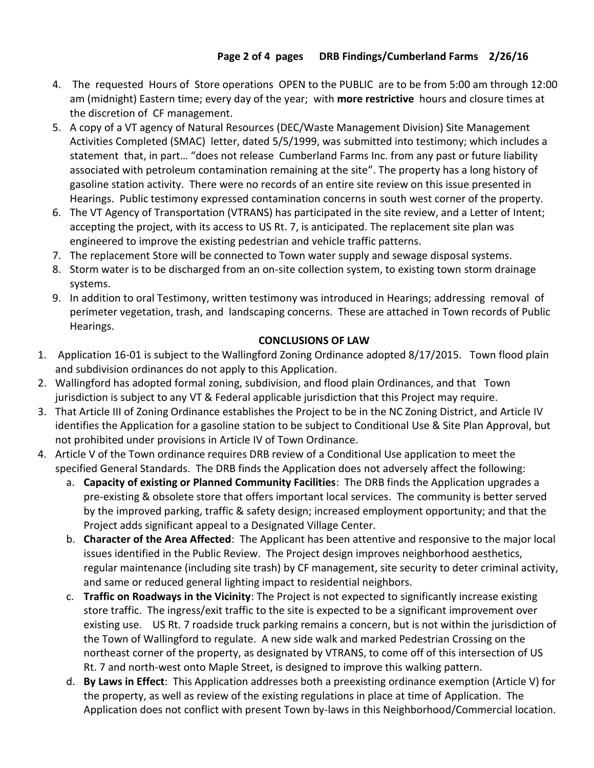- 4. The requested Hours of Store operations OPEN to the PUBLIC are to be from 5:00 am through 12:00 am (midnight) Eastern time; every day of the year; with **more restrictive** hours and closure times at the discretion of CF management.
- 5. A copy of a VT agency of Natural Resources (DEC/Waste Management Division) Site Management Activities Completed (SMAC) letter, dated 5/5/1999, was submitted into testimony; which includes a statement that, in part… "does not release Cumberland Farms Inc. from any past or future liability associated with petroleum contamination remaining at the site". The property has a long history of gasoline station activity. There were no records of an entire site review on this issue presented in Hearings. Public testimony expressed contamination concerns in south west corner of the property.
- 6. The VT Agency of Transportation (VTRANS) has participated in the site review, and a Letter of Intent; accepting the project, with its access to US Rt. 7, is anticipated. The replacement site plan was engineered to improve the existing pedestrian and vehicle traffic patterns.
- 7. The replacement Store will be connected to Town water supply and sewage disposal systems.
- 8. Storm water is to be discharged from an on-site collection system, to existing town storm drainage systems.
- 9. In addition to oral Testimony, written testimony was introduced in Hearings; addressing removal of perimeter vegetation, trash, and landscaping concerns. These are attached in Town records of Public Hearings.

# **CONCLUSIONS OF LAW**

- 1. Application 16-01 is subject to the Wallingford Zoning Ordinance adopted 8/17/2015. Town flood plain and subdivision ordinances do not apply to this Application.
- 2. Wallingford has adopted formal zoning, subdivision, and flood plain Ordinances, and that Town jurisdiction is subject to any VT & Federal applicable jurisdiction that this Project may require.
- 3. That Article III of Zoning Ordinance establishes the Project to be in the NC Zoning District, and Article IV identifies the Application for a gasoline station to be subject to Conditional Use & Site Plan Approval, but not prohibited under provisions in Article IV of Town Ordinance.
- 4. Article V of the Town ordinance requires DRB review of a Conditional Use application to meet the specified General Standards. The DRB finds the Application does not adversely affect the following:
	- a. **Capacity of existing or Planned Community Facilities**: The DRB finds the Application upgrades a pre-existing & obsolete store that offers important local services. The community is better served by the improved parking, traffic & safety design; increased employment opportunity; and that the Project adds significant appeal to a Designated Village Center.
	- b. **Character of the Area Affected**: The Applicant has been attentive and responsive to the major local issues identified in the Public Review. The Project design improves neighborhood aesthetics, regular maintenance (including site trash) by CF management, site security to deter criminal activity, and same or reduced general lighting impact to residential neighbors.
	- c. **Traffic on Roadways in the Vicinity**: The Project is not expected to significantly increase existing store traffic. The ingress/exit traffic to the site is expected to be a significant improvement over existing use. US Rt. 7 roadside truck parking remains a concern, but is not within the jurisdiction of the Town of Wallingford to regulate. A new side walk and marked Pedestrian Crossing on the northeast corner of the property, as designated by VTRANS, to come off of this intersection of US Rt. 7 and north-west onto Maple Street, is designed to improve this walking pattern.
	- d. **By Laws in Effect**: This Application addresses both a preexisting ordinance exemption (Article V) for the property, as well as review of the existing regulations in place at time of Application.The Application does not conflict with present Town by-laws in this Neighborhood/Commercial location.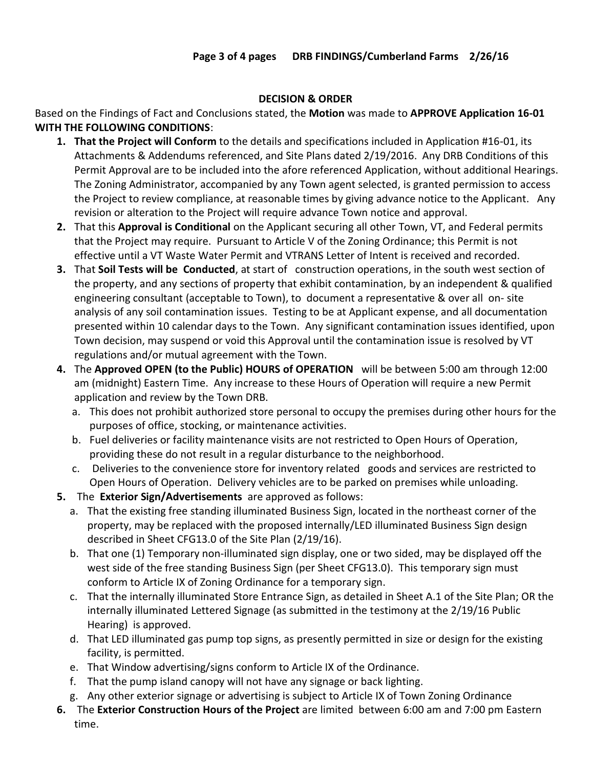### **DECISION & ORDER**

Based on the Findings of Fact and Conclusions stated, the **Motion** was made to **APPROVE Application 16-01 WITH THE FOLLOWING CONDITIONS**:

- **1. That the Project will Conform** to the details and specifications included in Application #16-01, its Attachments & Addendums referenced, and Site Plans dated 2/19/2016. Any DRB Conditions of this Permit Approval are to be included into the afore referenced Application, without additional Hearings. The Zoning Administrator, accompanied by any Town agent selected, is granted permission to access the Project to review compliance, at reasonable times by giving advance notice to the Applicant. Any revision or alteration to the Project will require advance Town notice and approval.
- **2.** That this **Approval is Conditional** on the Applicant securing all other Town, VT, and Federal permits that the Project may require. Pursuant to Article V of the Zoning Ordinance; this Permit is not effective until a VT Waste Water Permit and VTRANS Letter of Intent is received and recorded.
- **3.** That **Soil Tests will be Conducted**, at start of construction operations, in the south west section of the property, and any sections of property that exhibit contamination, by an independent & qualified engineering consultant (acceptable to Town), to document a representative & over all on- site analysis of any soil contamination issues. Testing to be at Applicant expense, and all documentation presented within 10 calendar days to the Town. Any significant contamination issues identified, upon Town decision, may suspend or void this Approval until the contamination issue is resolved by VT regulations and/or mutual agreement with the Town.
- **4.** The **Approved OPEN (to the Public) HOURS of OPERATION** will be between 5:00 am through 12:00 am (midnight) Eastern Time. Any increase to these Hours of Operation will require a new Permit application and review by the Town DRB.
	- a. This does not prohibit authorized store personal to occupy the premises during other hours for the purposes of office, stocking, or maintenance activities.
	- b. Fuel deliveries or facility maintenance visits are not restricted to Open Hours of Operation, providing these do not result in a regular disturbance to the neighborhood.
	- c. Deliveries to the convenience store for inventory related goods and services are restricted to Open Hours of Operation. Delivery vehicles are to be parked on premises while unloading.
- **5.** The **Exterior Sign/Advertisements** are approved as follows:
	- a. That the existing free standing illuminated Business Sign, located in the northeast corner of the property, may be replaced with the proposed internally/LED illuminated Business Sign design described in Sheet CFG13.0 of the Site Plan (2/19/16).
	- b. That one (1) Temporary non-illuminated sign display, one or two sided, may be displayed off the west side of the free standing Business Sign (per Sheet CFG13.0). This temporary sign must conform to Article IX of Zoning Ordinance for a temporary sign.
	- c. That the internally illuminated Store Entrance Sign, as detailed in Sheet A.1 of the Site Plan; OR the internally illuminated Lettered Signage (as submitted in the testimony at the 2/19/16 Public Hearing) is approved.
	- d. That LED illuminated gas pump top signs, as presently permitted in size or design for the existing facility, is permitted.
	- e. That Window advertising/signs conform to Article IX of the Ordinance.
	- f. That the pump island canopy will not have any signage or back lighting.
	- g. Any other exterior signage or advertising is subject to Article IX of Town Zoning Ordinance
- **6.** The **Exterior Construction Hours of the Project** are limited between 6:00 am and 7:00 pm Eastern time.